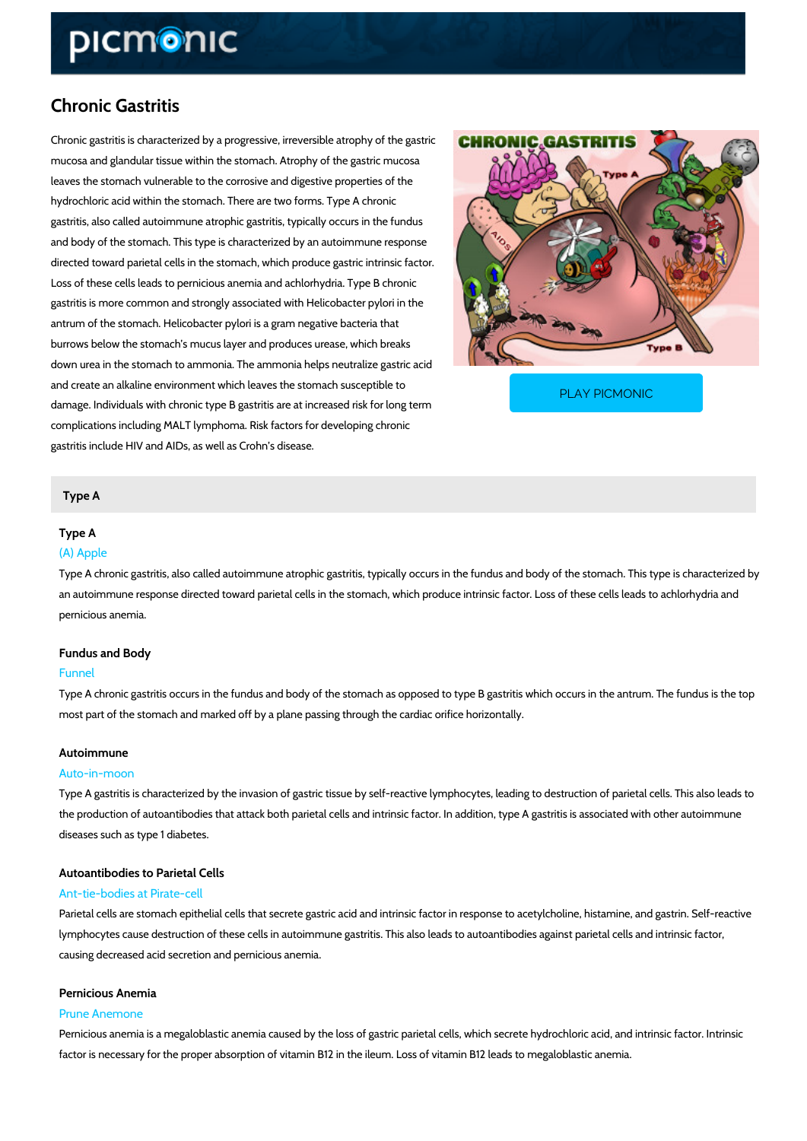# Chronic Gastritis

Chronic gastritis is characterized by a progressive, irreversible atrophy of the gastric mucosa and glandular tissue within the stomach. Atrophy of the gastric mucosa leaves the stomach vulnerable to the corrosive and digestive properties of the hydrochloric acid within the stomach. There are two forms. Type A chronic gastritis, also called autoimmune atrophic gastritis, typically occurs in the fundus and body of the stomach. This type is characterized by an autoimmune response directed toward parietal cells in the stomach, which produce gastric intrinsic factor. Loss of these cells leads to pernicious anemia and achlorhydria. Type B chronic gastritis is more common and strongly associated with Helicobacter pylori in the antrum of the stomach. Helicobacter pylori is a gram negative bacteria that burrows below the stomach s mucus layer and produces urease, which breaks down urea in the stomach to ammonia. The ammonia helps neutralize gastric acid and create an alkaline environment which leaves the stom damage. Individuals with chronic type B gastritis are at increased risk for long terms of long terms complications including MALT lymphoma. Risk factors for developing chronic gastritis include HIV and AIDs, as well as Crohn s disease. [PLAY PICMONIC](https://www.picmonic.com/learn/chronic-gastritis_437?utm_source=downloadable_content&utm_medium=distributedcontent&utm_campaign=pathways_pdf&utm_content=Chronic Gastritis&utm_ad_group=leads&utm_market=all)

#### Type A

#### Type A

#### (A) Apple

Type A chronic gastritis, also called autoimmune atrophic gastritis, typically occurs in the fur an autoimmune response directed toward parietal cells in the stomach, which produce intrinsie pernicious anemia.

## Fundus and Body

#### Funnel

Type A chronic gastritis occurs in the fundus and body of the stomach as opposed to type B g most part of the stomach and marked off by a plane passing through the cardiac orifice horizo

#### Autoimmune

#### Auto-in-moon

Type A gastritis is characterized by the invasion of gastric tissue by self-reactive lymphocyte the production of autoantibodies that attack both parietal cells and intrinsic factor. In additio diseases such as type 1 diabetes.

# Autoantibodies to Parietal Cells

#### Ant-tie-bodies at Pirate-cell

Parietal cells are stomach epithelial cells that secrete gastric acid and intrinsic factor in res lymphocytes cause destruction of these cells in autoimmune gastritis. This also leads to auto; causing decreased acid secretion and pernicious anemia.

#### Pernicious Anemia

#### Prune Anemone

Pernicious anemia is a megaloblastic anemia caused by the loss of gastric parietal cells, which factor is necessary for the proper absorption of vitamin B12 in the ileum. Loss of vitamin B12